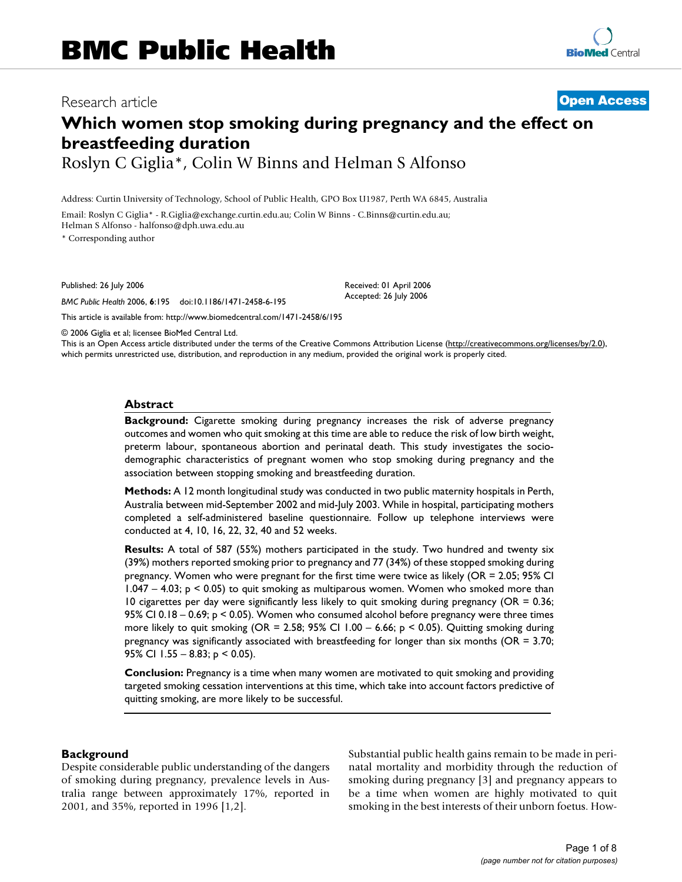## Research article **[Open Access](http://www.biomedcentral.com/info/about/charter/)**

# **Which women stop smoking during pregnancy and the effect on breastfeeding duration** Roslyn C Giglia\*, Colin W Binns and Helman S Alfonso

Address: Curtin University of Technology, School of Public Health, GPO Box U1987, Perth WA 6845, Australia

Email: Roslyn C Giglia\* - R.Giglia@exchange.curtin.edu.au; Colin W Binns - C.Binns@curtin.edu.au; Helman S Alfonso - halfonso@dph.uwa.edu.au

\* Corresponding author

Published: 26 July 2006

*BMC Public Health* 2006, **6**:195 doi:10.1186/1471-2458-6-195

[This article is available from: http://www.biomedcentral.com/1471-2458/6/195](http://www.biomedcentral.com/1471-2458/6/195)

© 2006 Giglia et al; licensee BioMed Central Ltd.

This is an Open Access article distributed under the terms of the Creative Commons Attribution License [\(http://creativecommons.org/licenses/by/2.0\)](http://creativecommons.org/licenses/by/2.0), which permits unrestricted use, distribution, and reproduction in any medium, provided the original work is properly cited.

Received: 01 April 2006 Accepted: 26 July 2006

#### **Abstract**

**Background:** Cigarette smoking during pregnancy increases the risk of adverse pregnancy outcomes and women who quit smoking at this time are able to reduce the risk of low birth weight, preterm labour, spontaneous abortion and perinatal death. This study investigates the sociodemographic characteristics of pregnant women who stop smoking during pregnancy and the association between stopping smoking and breastfeeding duration.

**Methods:** A 12 month longitudinal study was conducted in two public maternity hospitals in Perth, Australia between mid-September 2002 and mid-July 2003. While in hospital, participating mothers completed a self-administered baseline questionnaire. Follow up telephone interviews were conducted at 4, 10, 16, 22, 32, 40 and 52 weeks.

**Results:** A total of 587 (55%) mothers participated in the study. Two hundred and twenty six (39%) mothers reported smoking prior to pregnancy and 77 (34%) of these stopped smoking during pregnancy. Women who were pregnant for the first time were twice as likely (OR = 2.05; 95% CI 1.047 – 4.03; p < 0.05) to quit smoking as multiparous women. Women who smoked more than 10 cigarettes per day were significantly less likely to quit smoking during pregnancy ( $OR = 0.36$ ; 95% CI 0.18 – 0.69; p < 0.05). Women who consumed alcohol before pregnancy were three times more likely to quit smoking (OR = 2.58; 95% CI  $1.00 - 6.66$ ; p < 0.05). Quitting smoking during pregnancy was significantly associated with breastfeeding for longer than six months (OR = 3.70; 95% CI  $1.55 - 8.83$ ;  $p < 0.05$ ).

**Conclusion:** Pregnancy is a time when many women are motivated to quit smoking and providing targeted smoking cessation interventions at this time, which take into account factors predictive of quitting smoking, are more likely to be successful.

#### **Background**

Despite considerable public understanding of the dangers of smoking during pregnancy, prevalence levels in Australia range between approximately 17%, reported in 2001, and 35%, reported in 1996 [1,2].

Substantial public health gains remain to be made in perinatal mortality and morbidity through the reduction of smoking during pregnancy [3] and pregnancy appears to be a time when women are highly motivated to quit smoking in the best interests of their unborn foetus. How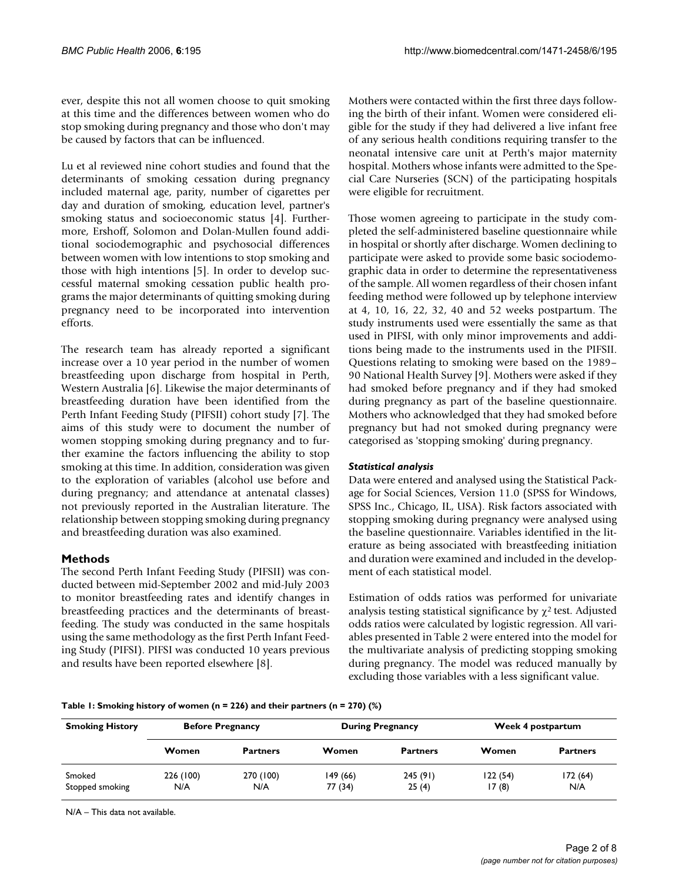ever, despite this not all women choose to quit smoking at this time and the differences between women who do stop smoking during pregnancy and those who don't may be caused by factors that can be influenced.

Lu et al reviewed nine cohort studies and found that the determinants of smoking cessation during pregnancy included maternal age, parity, number of cigarettes per day and duration of smoking, education level, partner's smoking status and socioeconomic status [4]. Furthermore, Ershoff, Solomon and Dolan-Mullen found additional sociodemographic and psychosocial differences between women with low intentions to stop smoking and those with high intentions [5]. In order to develop successful maternal smoking cessation public health programs the major determinants of quitting smoking during pregnancy need to be incorporated into intervention efforts.

The research team has already reported a significant increase over a 10 year period in the number of women breastfeeding upon discharge from hospital in Perth, Western Australia [6]. Likewise the major determinants of breastfeeding duration have been identified from the Perth Infant Feeding Study (PIFSII) cohort study [7]. The aims of this study were to document the number of women stopping smoking during pregnancy and to further examine the factors influencing the ability to stop smoking at this time. In addition, consideration was given to the exploration of variables (alcohol use before and during pregnancy; and attendance at antenatal classes) not previously reported in the Australian literature. The relationship between stopping smoking during pregnancy and breastfeeding duration was also examined.

## **Methods**

The second Perth Infant Feeding Study (PIFSII) was conducted between mid-September 2002 and mid-July 2003 to monitor breastfeeding rates and identify changes in breastfeeding practices and the determinants of breastfeeding. The study was conducted in the same hospitals using the same methodology as the first Perth Infant Feeding Study (PIFSI). PIFSI was conducted 10 years previous and results have been reported elsewhere [8].

Mothers were contacted within the first three days following the birth of their infant. Women were considered eligible for the study if they had delivered a live infant free of any serious health conditions requiring transfer to the neonatal intensive care unit at Perth's major maternity hospital. Mothers whose infants were admitted to the Special Care Nurseries (SCN) of the participating hospitals were eligible for recruitment.

Those women agreeing to participate in the study completed the self-administered baseline questionnaire while in hospital or shortly after discharge. Women declining to participate were asked to provide some basic sociodemographic data in order to determine the representativeness of the sample. All women regardless of their chosen infant feeding method were followed up by telephone interview at 4, 10, 16, 22, 32, 40 and 52 weeks postpartum. The study instruments used were essentially the same as that used in PIFSI, with only minor improvements and additions being made to the instruments used in the PIFSII. Questions relating to smoking were based on the 1989– 90 National Health Survey [9]. Mothers were asked if they had smoked before pregnancy and if they had smoked during pregnancy as part of the baseline questionnaire. Mothers who acknowledged that they had smoked before pregnancy but had not smoked during pregnancy were categorised as 'stopping smoking' during pregnancy.

## *Statistical analysis*

Data were entered and analysed using the Statistical Package for Social Sciences, Version 11.0 (SPSS for Windows, SPSS Inc., Chicago, IL, USA). Risk factors associated with stopping smoking during pregnancy were analysed using the baseline questionnaire. Variables identified in the literature as being associated with breastfeeding initiation and duration were examined and included in the development of each statistical model.

Estimation of odds ratios was performed for univariate analysis testing statistical significance by  $\chi^2$  test. Adjusted odds ratios were calculated by logistic regression. All variables presented in Table 2 were entered into the model for the multivariate analysis of predicting stopping smoking during pregnancy. The model was reduced manually by excluding those variables with a less significant value.

## **Table 1: Smoking history of women (n = 226) and their partners (n = 270) (%)**

| <b>Smoking History</b> | <b>Before Pregnancy</b> |                 | <b>During Pregnancy</b> |                 | Week 4 postpartum |                 |
|------------------------|-------------------------|-----------------|-------------------------|-----------------|-------------------|-----------------|
|                        | Women                   | <b>Partners</b> | Women                   | <b>Partners</b> | Women             | <b>Partners</b> |
| Smoked                 | 226 (100)               | 270 (100)       | 149 (66)                | 245(91)         | 122(54)           | 172(64)         |
| Stopped smoking        | N/A                     | N/A             | 77 (34)                 | 25(4)           | 17(8)             | N/A             |

N/A – This data not available.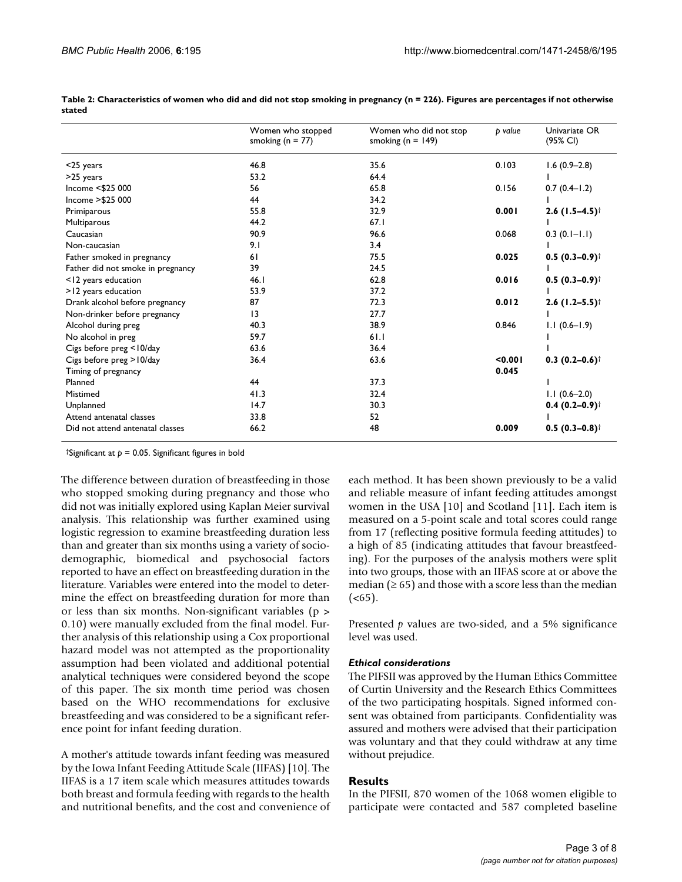|                                   | Women who stopped<br>smoking ( $n = 77$ ) | Women who did not stop<br>smoking ( $n = 149$ ) | <b>b</b> value | Univariate OR<br>(95% CI)    |
|-----------------------------------|-------------------------------------------|-------------------------------------------------|----------------|------------------------------|
| $<$ 25 years                      | 46.8                                      | 35.6                                            | 0.103          | $1.6(0.9-2.8)$               |
| >25 years                         | 53.2                                      | 64.4                                            |                |                              |
| Income <\$25 000                  | 56                                        | 65.8                                            | 0.156          | $0.7(0.4-1.2)$               |
| Income > \$25 000                 | 44                                        | 34.2                                            |                |                              |
| Primiparous                       | 55.8                                      | 32.9                                            | 0.001          | $2.6$ (1.5–4.5) <sup>†</sup> |
| Multiparous                       | 44.2                                      | 67.1                                            |                |                              |
| Caucasian                         | 90.9                                      | 96.6                                            | 0.068          | $0.3(0.1 - 1.1)$             |
| Non-caucasian                     | 9.1                                       | 3.4                                             |                |                              |
| Father smoked in pregnancy        | 61                                        | 75.5                                            | 0.025          | $0.5(0.3-0.9)$ <sup>†</sup>  |
| Father did not smoke in pregnancy | 39                                        | 24.5                                            |                |                              |
| <12 years education               | 46.1                                      | 62.8                                            | 0.016          | $0.5(0.3-0.9)$ <sup>†</sup>  |
| >12 years education               | 53.9                                      | 37.2                                            |                |                              |
| Drank alcohol before pregnancy    | 87                                        | 72.3                                            | 0.012          | $2.6$ (1.2–5.5) <sup>†</sup> |
| Non-drinker before pregnancy      | 3                                         | 27.7                                            |                |                              |
| Alcohol during preg               | 40.3                                      | 38.9                                            | 0.846          | $1.1(0.6-1.9)$               |
| No alcohol in preg                | 59.7                                      | 61.1                                            |                |                              |
| Cigs before preg <10/day          | 63.6                                      | 36.4                                            |                |                              |
| Cigs before preg > 10/day         | 36.4                                      | 63.6                                            | < 0.001        | $0.3(0.2-0.6)$ <sup>†</sup>  |
| Timing of pregnancy               |                                           |                                                 | 0.045          |                              |
| Planned                           | 44                                        | 37.3                                            |                |                              |
| Mistimed                          | 41.3                                      | 32.4                                            |                | $1.1(0.6-2.0)$               |
| Unplanned                         | 14.7                                      | 30.3                                            |                | $0.4(0.2-0.9)$ <sup>†</sup>  |
| Attend antenatal classes          | 33.8                                      | 52                                              |                |                              |
| Did not attend antenatal classes  | 66.2                                      | 48                                              | 0.009          | $0.5(0.3-0.8)$ <sup>†</sup>  |

**Table 2: Characteristics of women who did and did not stop smoking in pregnancy (n = 226). Figures are percentages if not otherwise stated**

†Significant at *p* = 0.05. Significant figures in bold

The difference between duration of breastfeeding in those who stopped smoking during pregnancy and those who did not was initially explored using Kaplan Meier survival analysis. This relationship was further examined using logistic regression to examine breastfeeding duration less than and greater than six months using a variety of sociodemographic, biomedical and psychosocial factors reported to have an effect on breastfeeding duration in the literature. Variables were entered into the model to determine the effect on breastfeeding duration for more than or less than six months. Non-significant variables (p > 0.10) were manually excluded from the final model. Further analysis of this relationship using a Cox proportional hazard model was not attempted as the proportionality assumption had been violated and additional potential analytical techniques were considered beyond the scope of this paper. The six month time period was chosen based on the WHO recommendations for exclusive breastfeeding and was considered to be a significant reference point for infant feeding duration.

A mother's attitude towards infant feeding was measured by the Iowa Infant Feeding Attitude Scale (IIFAS) [10]. The IIFAS is a 17 item scale which measures attitudes towards both breast and formula feeding with regards to the health and nutritional benefits, and the cost and convenience of each method. It has been shown previously to be a valid and reliable measure of infant feeding attitudes amongst women in the USA [10] and Scotland [11]. Each item is measured on a 5-point scale and total scores could range from 17 (reflecting positive formula feeding attitudes) to a high of 85 (indicating attitudes that favour breastfeeding). For the purposes of the analysis mothers were split into two groups, those with an IIFAS score at or above the median ( $\geq 65$ ) and those with a score less than the median  $(**65**)$ .

Presented *p* values are two-sided, and a 5% significance level was used.

## *Ethical considerations*

The PIFSII was approved by the Human Ethics Committee of Curtin University and the Research Ethics Committees of the two participating hospitals. Signed informed consent was obtained from participants. Confidentiality was assured and mothers were advised that their participation was voluntary and that they could withdraw at any time without prejudice.

## **Results**

In the PIFSII, 870 women of the 1068 women eligible to participate were contacted and 587 completed baseline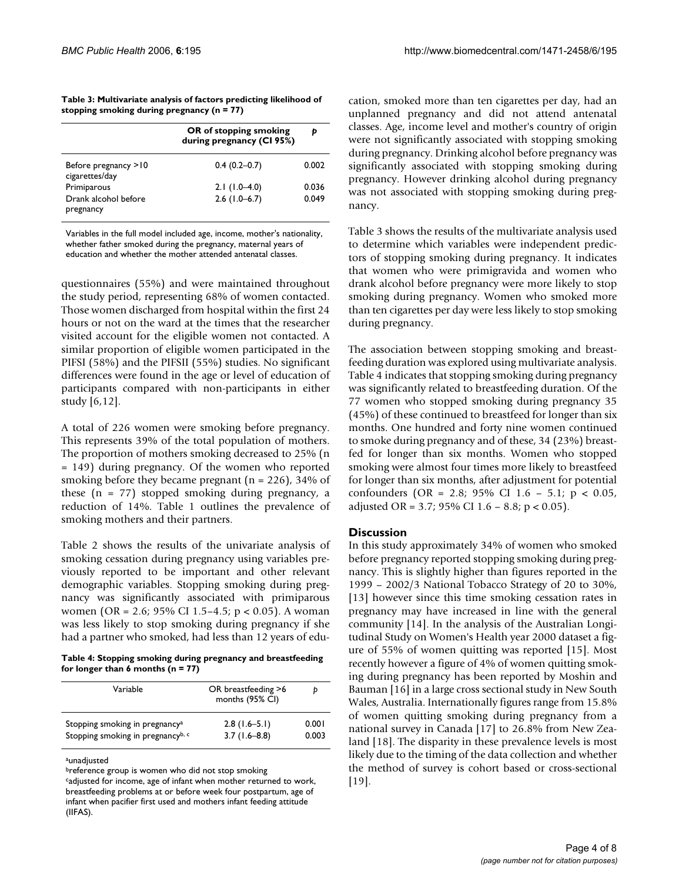| Table 3: Multivariate analysis of factors predicting likelihood of |
|--------------------------------------------------------------------|
| stopping smoking during pregnancy ( $n = 77$ )                     |

|                                        | OR of stopping smoking<br>during pregnancy (CI 95%) | Þ     |
|----------------------------------------|-----------------------------------------------------|-------|
| Before pregnancy >10<br>cigarettes/day | $0.4(0.2-0.7)$                                      | 0.002 |
| Primiparous                            | $2.1(1.0-4.0)$                                      | 0.036 |
| Drank alcohol before<br>pregnancy      | $2.6$ (1.0–6.7)                                     | 0.049 |

Variables in the full model included age, income, mother's nationality, whether father smoked during the pregnancy, maternal years of education and whether the mother attended antenatal classes.

questionnaires (55%) and were maintained throughout the study period, representing 68% of women contacted. Those women discharged from hospital within the first 24 hours or not on the ward at the times that the researcher visited account for the eligible women not contacted. A similar proportion of eligible women participated in the PIFSI (58%) and the PIFSII (55%) studies. No significant differences were found in the age or level of education of participants compared with non-participants in either study [6,12].

A total of 226 women were smoking before pregnancy. This represents 39% of the total population of mothers. The proportion of mothers smoking decreased to 25% (n = 149) during pregnancy. Of the women who reported smoking before they became pregnant ( $n = 226$ ), 34% of these  $(n = 77)$  stopped smoking during pregnancy, a reduction of 14%. Table 1 outlines the prevalence of smoking mothers and their partners.

Table 2 shows the results of the univariate analysis of smoking cessation during pregnancy using variables previously reported to be important and other relevant demographic variables. Stopping smoking during pregnancy was significantly associated with primiparous women (OR = 2.6; 95% CI 1.5–4.5; p < 0.05). A woman was less likely to stop smoking during pregnancy if she had a partner who smoked, had less than 12 years of edu-

**Table 4: Stopping smoking during pregnancy and breastfeeding for longer than 6 months (n = 77)**

| Variable                                      | OR breastfeeding >6<br>months (95% CI) | D     |
|-----------------------------------------------|----------------------------------------|-------|
| Stopping smoking in pregnancy <sup>a</sup>    | $2.8(1.6-5.1)$                         | 0.001 |
| Stopping smoking in pregnancy <sup>b, c</sup> | $3.7(1.6-8.8)$                         | 0.003 |

aunadjusted

cation, smoked more than ten cigarettes per day, had an unplanned pregnancy and did not attend antenatal classes. Age, income level and mother's country of origin were not significantly associated with stopping smoking during pregnancy. Drinking alcohol before pregnancy was significantly associated with stopping smoking during pregnancy. However drinking alcohol during pregnancy was not associated with stopping smoking during pregnancy.

Table 3 shows the results of the multivariate analysis used to determine which variables were independent predictors of stopping smoking during pregnancy. It indicates that women who were primigravida and women who drank alcohol before pregnancy were more likely to stop smoking during pregnancy. Women who smoked more than ten cigarettes per day were less likely to stop smoking during pregnancy.

The association between stopping smoking and breastfeeding duration was explored using multivariate analysis. Table 4 indicates that stopping smoking during pregnancy was significantly related to breastfeeding duration. Of the 77 women who stopped smoking during pregnancy 35 (45%) of these continued to breastfeed for longer than six months. One hundred and forty nine women continued to smoke during pregnancy and of these, 34 (23%) breastfed for longer than six months. Women who stopped smoking were almost four times more likely to breastfeed for longer than six months, after adjustment for potential confounders (OR = 2.8; 95% CI 1.6 – 5.1; p < 0.05, adjusted OR = 3.7; 95% CI 1.6 – 8.8; p < 0.05).

## **Discussion**

In this study approximately 34% of women who smoked before pregnancy reported stopping smoking during pregnancy. This is slightly higher than figures reported in the 1999 – 2002/3 National Tobacco Strategy of 20 to 30%, [13] however since this time smoking cessation rates in pregnancy may have increased in line with the general community [14]. In the analysis of the Australian Longitudinal Study on Women's Health year 2000 dataset a figure of 55% of women quitting was reported [15]. Most recently however a figure of 4% of women quitting smoking during pregnancy has been reported by Moshin and Bauman [16] in a large cross sectional study in New South Wales, Australia. Internationally figures range from 15.8% of women quitting smoking during pregnancy from a national survey in Canada [17] to 26.8% from New Zealand [18]. The disparity in these prevalence levels is most likely due to the timing of the data collection and whether the method of survey is cohort based or cross-sectional [19].

breference group is women who did not stop smoking

cadjusted for income, age of infant when mother returned to work, breastfeeding problems at or before week four postpartum, age of infant when pacifier first used and mothers infant feeding attitude (IIFAS).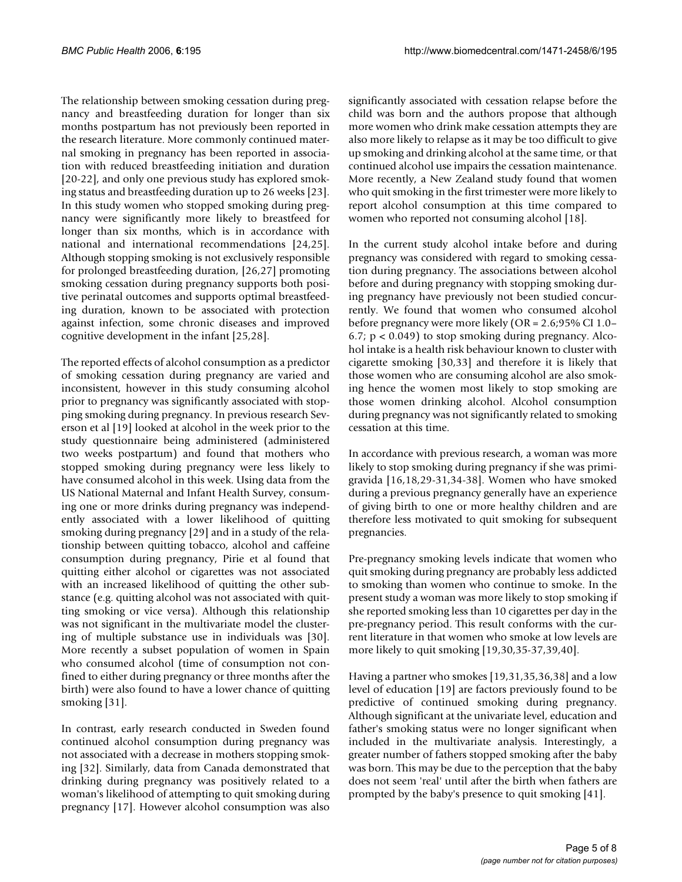The relationship between smoking cessation during pregnancy and breastfeeding duration for longer than six months postpartum has not previously been reported in the research literature. More commonly continued maternal smoking in pregnancy has been reported in association with reduced breastfeeding initiation and duration [20-22], and only one previous study has explored smoking status and breastfeeding duration up to 26 weeks [23]. In this study women who stopped smoking during pregnancy were significantly more likely to breastfeed for longer than six months, which is in accordance with national and international recommendations [24,25]. Although stopping smoking is not exclusively responsible for prolonged breastfeeding duration, [26,27] promoting smoking cessation during pregnancy supports both positive perinatal outcomes and supports optimal breastfeeding duration, known to be associated with protection against infection, some chronic diseases and improved cognitive development in the infant [25,28].

The reported effects of alcohol consumption as a predictor of smoking cessation during pregnancy are varied and inconsistent, however in this study consuming alcohol prior to pregnancy was significantly associated with stopping smoking during pregnancy. In previous research Severson et al [19] looked at alcohol in the week prior to the study questionnaire being administered (administered two weeks postpartum) and found that mothers who stopped smoking during pregnancy were less likely to have consumed alcohol in this week. Using data from the US National Maternal and Infant Health Survey, consuming one or more drinks during pregnancy was independently associated with a lower likelihood of quitting smoking during pregnancy [29] and in a study of the relationship between quitting tobacco, alcohol and caffeine consumption during pregnancy, Pirie et al found that quitting either alcohol or cigarettes was not associated with an increased likelihood of quitting the other substance (e.g. quitting alcohol was not associated with quitting smoking or vice versa). Although this relationship was not significant in the multivariate model the clustering of multiple substance use in individuals was [30]. More recently a subset population of women in Spain who consumed alcohol (time of consumption not confined to either during pregnancy or three months after the birth) were also found to have a lower chance of quitting smoking [31].

In contrast, early research conducted in Sweden found continued alcohol consumption during pregnancy was not associated with a decrease in mothers stopping smoking [32]. Similarly, data from Canada demonstrated that drinking during pregnancy was positively related to a woman's likelihood of attempting to quit smoking during pregnancy [17]. However alcohol consumption was also

significantly associated with cessation relapse before the child was born and the authors propose that although more women who drink make cessation attempts they are also more likely to relapse as it may be too difficult to give up smoking and drinking alcohol at the same time, or that continued alcohol use impairs the cessation maintenance. More recently, a New Zealand study found that women who quit smoking in the first trimester were more likely to report alcohol consumption at this time compared to women who reported not consuming alcohol [18].

In the current study alcohol intake before and during pregnancy was considered with regard to smoking cessation during pregnancy. The associations between alcohol before and during pregnancy with stopping smoking during pregnancy have previously not been studied concurrently. We found that women who consumed alcohol before pregnancy were more likely (OR = 2.6;95% CI 1.0– 6.7;  $p < 0.049$ ) to stop smoking during pregnancy. Alcohol intake is a health risk behaviour known to cluster with cigarette smoking [30,33] and therefore it is likely that those women who are consuming alcohol are also smoking hence the women most likely to stop smoking are those women drinking alcohol. Alcohol consumption during pregnancy was not significantly related to smoking cessation at this time.

In accordance with previous research, a woman was more likely to stop smoking during pregnancy if she was primigravida [16,18,29-31,34-38]. Women who have smoked during a previous pregnancy generally have an experience of giving birth to one or more healthy children and are therefore less motivated to quit smoking for subsequent pregnancies.

Pre-pregnancy smoking levels indicate that women who quit smoking during pregnancy are probably less addicted to smoking than women who continue to smoke. In the present study a woman was more likely to stop smoking if she reported smoking less than 10 cigarettes per day in the pre-pregnancy period. This result conforms with the current literature in that women who smoke at low levels are more likely to quit smoking [19,30,35-37,39,40].

Having a partner who smokes [19,31,35,36,38] and a low level of education [19] are factors previously found to be predictive of continued smoking during pregnancy. Although significant at the univariate level, education and father's smoking status were no longer significant when included in the multivariate analysis. Interestingly, a greater number of fathers stopped smoking after the baby was born. This may be due to the perception that the baby does not seem 'real' until after the birth when fathers are prompted by the baby's presence to quit smoking [41].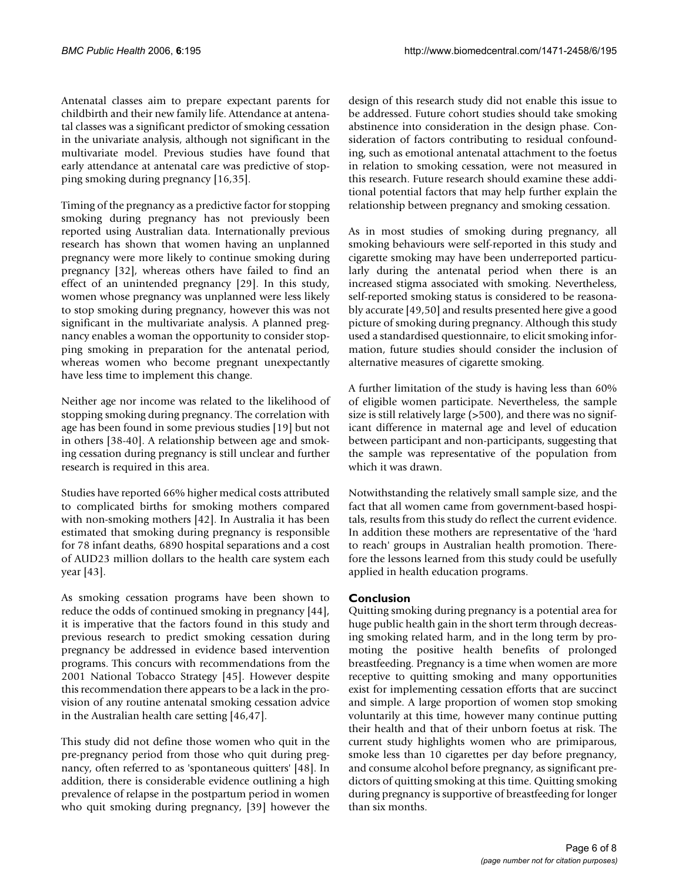Antenatal classes aim to prepare expectant parents for childbirth and their new family life. Attendance at antenatal classes was a significant predictor of smoking cessation in the univariate analysis, although not significant in the multivariate model. Previous studies have found that early attendance at antenatal care was predictive of stopping smoking during pregnancy [16,35].

Timing of the pregnancy as a predictive factor for stopping smoking during pregnancy has not previously been reported using Australian data. Internationally previous research has shown that women having an unplanned pregnancy were more likely to continue smoking during pregnancy [32], whereas others have failed to find an effect of an unintended pregnancy [29]. In this study, women whose pregnancy was unplanned were less likely to stop smoking during pregnancy, however this was not significant in the multivariate analysis. A planned pregnancy enables a woman the opportunity to consider stopping smoking in preparation for the antenatal period, whereas women who become pregnant unexpectantly have less time to implement this change.

Neither age nor income was related to the likelihood of stopping smoking during pregnancy. The correlation with age has been found in some previous studies [19] but not in others [38-40]. A relationship between age and smoking cessation during pregnancy is still unclear and further research is required in this area.

Studies have reported 66% higher medical costs attributed to complicated births for smoking mothers compared with non-smoking mothers [42]. In Australia it has been estimated that smoking during pregnancy is responsible for 78 infant deaths, 6890 hospital separations and a cost of AUD23 million dollars to the health care system each year [43].

As smoking cessation programs have been shown to reduce the odds of continued smoking in pregnancy [44], it is imperative that the factors found in this study and previous research to predict smoking cessation during pregnancy be addressed in evidence based intervention programs. This concurs with recommendations from the 2001 National Tobacco Strategy [45]. However despite this recommendation there appears to be a lack in the provision of any routine antenatal smoking cessation advice in the Australian health care setting [46,47].

This study did not define those women who quit in the pre-pregnancy period from those who quit during pregnancy, often referred to as 'spontaneous quitters' [48]. In addition, there is considerable evidence outlining a high prevalence of relapse in the postpartum period in women who quit smoking during pregnancy, [39] however the design of this research study did not enable this issue to be addressed. Future cohort studies should take smoking abstinence into consideration in the design phase. Consideration of factors contributing to residual confounding, such as emotional antenatal attachment to the foetus in relation to smoking cessation, were not measured in this research. Future research should examine these additional potential factors that may help further explain the relationship between pregnancy and smoking cessation.

As in most studies of smoking during pregnancy, all smoking behaviours were self-reported in this study and cigarette smoking may have been underreported particularly during the antenatal period when there is an increased stigma associated with smoking. Nevertheless, self-reported smoking status is considered to be reasonably accurate [49,50] and results presented here give a good picture of smoking during pregnancy. Although this study used a standardised questionnaire, to elicit smoking information, future studies should consider the inclusion of alternative measures of cigarette smoking.

A further limitation of the study is having less than 60% of eligible women participate. Nevertheless, the sample size is still relatively large (>500), and there was no significant difference in maternal age and level of education between participant and non-participants, suggesting that the sample was representative of the population from which it was drawn.

Notwithstanding the relatively small sample size, and the fact that all women came from government-based hospitals, results from this study do reflect the current evidence. In addition these mothers are representative of the 'hard to reach' groups in Australian health promotion. Therefore the lessons learned from this study could be usefully applied in health education programs.

## **Conclusion**

Quitting smoking during pregnancy is a potential area for huge public health gain in the short term through decreasing smoking related harm, and in the long term by promoting the positive health benefits of prolonged breastfeeding. Pregnancy is a time when women are more receptive to quitting smoking and many opportunities exist for implementing cessation efforts that are succinct and simple. A large proportion of women stop smoking voluntarily at this time, however many continue putting their health and that of their unborn foetus at risk. The current study highlights women who are primiparous, smoke less than 10 cigarettes per day before pregnancy, and consume alcohol before pregnancy, as significant predictors of quitting smoking at this time. Quitting smoking during pregnancy is supportive of breastfeeding for longer than six months.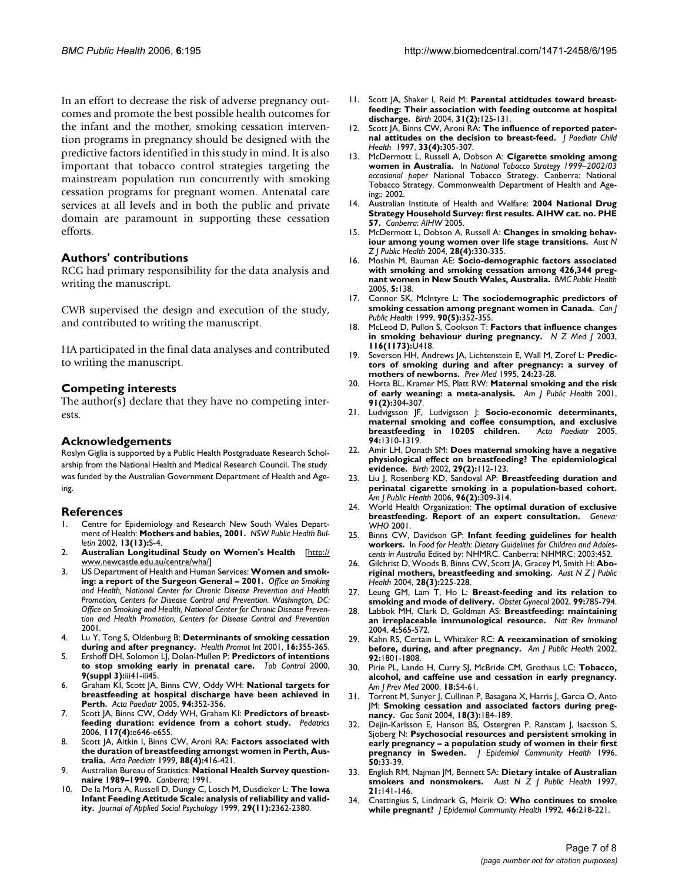In an effort to decrease the risk of adverse pregnancy outcomes and promote the best possible health outcomes for the infant and the mother, smoking cessation intervention programs in pregnancy should be designed with the predictive factors identified in this study in mind. It is also important that tobacco control strategies targeting the mainstream population run concurrently with smoking cessation programs for pregnant women. Antenatal care services at all levels and in both the public and private domain are paramount in supporting these cessation efforts.

## **Authors' contributions**

RCG had primary responsibility for the data analysis and writing the manuscript.

CWB supervised the design and execution of the study, and contributed to writing the manuscript.

HA participated in the final data analyses and contributed to writing the manuscript.

## **Competing interests**

The author(s) declare that they have no competing interests.

#### **Acknowledgements**

Roslyn Giglia is supported by a Public Health Postgraduate Research Scholarship from the National Health and Medical Research Council. The study was funded by the Australian Government Department of Health and Ageing.

#### **References**

- 1. Centre for Epidemiology and Research New South Wales Department of Health: **Mothers and babies, 2001.** *NSW Public Health Bulletin* 2002, **13(13):**S-4.
- 2. **Australian Longitudinal Study on Women's Health** [[http://](http://www.newcastle.edu.au/centre/wha/) [www.newcastle.edu.au/centre/wha/\]](http://www.newcastle.edu.au/centre/wha/)
- 3. US Department of Health and Human Services: **Women and smoking: a report of the Surgeon General – 2001.** *Office on Smoking and Health, National Center for Chronic Disease Prevention and Health Promotion, Centers for Disease Control and Prevention. Washington, DC: Office on Smoking and Health, National Center for Chronic Disease Prevention and Health Promotion, Centers for Disease Control and Prevention* 2001.
- 4. Lu Y, Tong S, Oldenburg B: **[Determinants of smoking cessation](http://www.ncbi.nlm.nih.gov/entrez/query.fcgi?cmd=Retrieve&db=PubMed&dopt=Abstract&list_uids=11733454) [during and after pregnancy.](http://www.ncbi.nlm.nih.gov/entrez/query.fcgi?cmd=Retrieve&db=PubMed&dopt=Abstract&list_uids=11733454)** *Health Promot Int* 2001, **16:**355-365.
- 5. Ershoff DH, Solomon LJ, Dolan-Mullen P: **[Predictors of intentions](http://www.ncbi.nlm.nih.gov/entrez/query.fcgi?cmd=Retrieve&db=PubMed&dopt=Abstract&list_uids=10982904) [to stop smoking early in prenatal care.](http://www.ncbi.nlm.nih.gov/entrez/query.fcgi?cmd=Retrieve&db=PubMed&dopt=Abstract&list_uids=10982904)** *Tob Control* 2000, **9(suppl 3):**iii41-iii45.
- 6. Graham KI, Scott JA, Binns CW, Oddy WH: **[National targets for](http://www.ncbi.nlm.nih.gov/entrez/query.fcgi?cmd=Retrieve&db=PubMed&dopt=Abstract&list_uids=16028655) [breastfeeding at hospital discharge have been achieved in](http://www.ncbi.nlm.nih.gov/entrez/query.fcgi?cmd=Retrieve&db=PubMed&dopt=Abstract&list_uids=16028655) [Perth.](http://www.ncbi.nlm.nih.gov/entrez/query.fcgi?cmd=Retrieve&db=PubMed&dopt=Abstract&list_uids=16028655)** *Acta Paediatr* 2005, **94:**352-356.
- Scott JA, Binns CW, Oddy WH, Graham Kl: Predictors of breast**feeding duration: evidence from a cohort study.** *Pedatrics* 2006, **117(4):**e646-e655.
- 8. Scott JA, Aitkin I, Binns CW, Aroni RA: **[Factors associated with](http://www.ncbi.nlm.nih.gov/entrez/query.fcgi?cmd=Retrieve&db=PubMed&dopt=Abstract&list_uids=10342541) [the duration of breastfeeding amongst women in Perth, Aus](http://www.ncbi.nlm.nih.gov/entrez/query.fcgi?cmd=Retrieve&db=PubMed&dopt=Abstract&list_uids=10342541)[tralia.](http://www.ncbi.nlm.nih.gov/entrez/query.fcgi?cmd=Retrieve&db=PubMed&dopt=Abstract&list_uids=10342541)** *Acta Paediatr* 1999, **88(4):**416-421.
- 9. Australian Bureau of Statistics: **National Health Survey questionnaire 1989–1990.** *Canberra;* 1991.
- 10. De la Mora A, Russell D, Dungy C, Losch M, Dusdieker L: **The Iowa Infant Feeding Attitude Scale: analysis of reliability and validity.** *Journal of Applied Social Psychology* 1999, **29(11):**2362-2380.
- 11. Scott JA, Shaker I, Reid M: **[Parental attidtudes toward breast](http://www.ncbi.nlm.nih.gov/entrez/query.fcgi?cmd=Retrieve&db=PubMed&dopt=Abstract&list_uids=15153132)[feeding: Their association with feeding outcome at hospital](http://www.ncbi.nlm.nih.gov/entrez/query.fcgi?cmd=Retrieve&db=PubMed&dopt=Abstract&list_uids=15153132) [discharge.](http://www.ncbi.nlm.nih.gov/entrez/query.fcgi?cmd=Retrieve&db=PubMed&dopt=Abstract&list_uids=15153132)** *Birth* 2004, **31(2):**125-131.
- 12. Scott JA, Binns CW, Aroni RA: **[The influence of reported pater](http://www.ncbi.nlm.nih.gov/entrez/query.fcgi?cmd=Retrieve&db=PubMed&dopt=Abstract&list_uids=9323617)[nal attitudes on the decision to breast-feed.](http://www.ncbi.nlm.nih.gov/entrez/query.fcgi?cmd=Retrieve&db=PubMed&dopt=Abstract&list_uids=9323617)** *J Paediatr Child Health* 1997, **33(4):**305-307.
- 13. McDermott L, Russell A, Dobson A: **Cigarette smoking among women in Australia.** In *National Tobacco Strategy 1999–2002/03 occasional paper* National Tobacco Strategy. Canberra: National Tobacco Strategy. Commonwealth Department of Health and Ageing;; 2002.
- 14. Australian Institute of Health and Welfare: **2004 National Drug Strategy Household Survey: first results. AIHW cat. no. PHE 57.** *Canberra: AIHW* 2005.
- 15. McDermott L, Dobson A, Russell A: **[Changes in smoking behav](http://www.ncbi.nlm.nih.gov/entrez/query.fcgi?cmd=Retrieve&db=PubMed&dopt=Abstract&list_uids=15704696)[iour among young women over life stage transitions.](http://www.ncbi.nlm.nih.gov/entrez/query.fcgi?cmd=Retrieve&db=PubMed&dopt=Abstract&list_uids=15704696)** *Aust N Z J Public Health* 2004, **28(4):**330-335.
- 16. Moshin M, Bauman AE: **[Socio-demographic factors associated](http://www.ncbi.nlm.nih.gov/entrez/query.fcgi?cmd=Retrieve&db=PubMed&dopt=Abstract&list_uids=16371166) [with smoking and smoking cessation among 426,344 preg](http://www.ncbi.nlm.nih.gov/entrez/query.fcgi?cmd=Retrieve&db=PubMed&dopt=Abstract&list_uids=16371166)[nant women in New South Wales, Australia.](http://www.ncbi.nlm.nih.gov/entrez/query.fcgi?cmd=Retrieve&db=PubMed&dopt=Abstract&list_uids=16371166)** *BMC Public Health* 2005, **5:**138.
- 17. Connor SK, McIntyre L: **[The sociodemographic predictors of](http://www.ncbi.nlm.nih.gov/entrez/query.fcgi?cmd=Retrieve&db=PubMed&dopt=Abstract&list_uids=10570583) [smoking cessation among pregnant women in Canada.](http://www.ncbi.nlm.nih.gov/entrez/query.fcgi?cmd=Retrieve&db=PubMed&dopt=Abstract&list_uids=10570583)** *Can J Public Health* 1999, **90(5):**352-355.
- 18. McLeod D, Pullon S, Cookson T: **[Factors that influence changes](http://www.ncbi.nlm.nih.gov/entrez/query.fcgi?cmd=Retrieve&db=PubMed&dopt=Abstract&list_uids=12740612) [in smoking behaviour during pregnancy.](http://www.ncbi.nlm.nih.gov/entrez/query.fcgi?cmd=Retrieve&db=PubMed&dopt=Abstract&list_uids=12740612)** *N Z Med J* 2003, **116(1173):**U418.
- 19. Severson HH, Andrews JA, Lichtenstein E, Wall M, Zoref L: **[Predic](http://www.ncbi.nlm.nih.gov/entrez/query.fcgi?cmd=Retrieve&db=PubMed&dopt=Abstract&list_uids=7740011)[tors of smoking during and after pregnancy: a survey of](http://www.ncbi.nlm.nih.gov/entrez/query.fcgi?cmd=Retrieve&db=PubMed&dopt=Abstract&list_uids=7740011) [mothers of newborns.](http://www.ncbi.nlm.nih.gov/entrez/query.fcgi?cmd=Retrieve&db=PubMed&dopt=Abstract&list_uids=7740011)** *Prev Med* 1995, **24:**23-28.
- 20. Horta BL, Kramer MS, Platt RW: **[Maternal smoking and the risk](http://www.ncbi.nlm.nih.gov/entrez/query.fcgi?cmd=Retrieve&db=PubMed&dopt=Abstract&list_uids=11211645) [of early weaning: a meta-analysis.](http://www.ncbi.nlm.nih.gov/entrez/query.fcgi?cmd=Retrieve&db=PubMed&dopt=Abstract&list_uids=11211645)** *Am J Public Health* 2001, **91(2):**304-307.
- 21. Ludvigsson JF, Ludvigsson J: **[Socio-economic determinants,](http://www.ncbi.nlm.nih.gov/entrez/query.fcgi?cmd=Retrieve&db=PubMed&dopt=Abstract&list_uids=16278998) [maternal smoking and coffee consumption, and exclusive](http://www.ncbi.nlm.nih.gov/entrez/query.fcgi?cmd=Retrieve&db=PubMed&dopt=Abstract&list_uids=16278998) [breastfeeding in 10205 children.](http://www.ncbi.nlm.nih.gov/entrez/query.fcgi?cmd=Retrieve&db=PubMed&dopt=Abstract&list_uids=16278998)** *Acta Paediatr* 2005, **94:**1310-1319.
- 22. Amir LH, Donath SM: **[Does maternal smoking have a negative](http://www.ncbi.nlm.nih.gov/entrez/query.fcgi?cmd=Retrieve&db=PubMed&dopt=Abstract&list_uids=12000412) [physiological effect on breastfeeding? The epidemiological](http://www.ncbi.nlm.nih.gov/entrez/query.fcgi?cmd=Retrieve&db=PubMed&dopt=Abstract&list_uids=12000412) [evidence.](http://www.ncbi.nlm.nih.gov/entrez/query.fcgi?cmd=Retrieve&db=PubMed&dopt=Abstract&list_uids=12000412)** *Birth* 2002, **29(2):**112-123.
- 23. Liu J, Rosenberg KD, Sandoval AP: **[Breastfeeding duration and](http://www.ncbi.nlm.nih.gov/entrez/query.fcgi?cmd=Retrieve&db=PubMed&dopt=Abstract&list_uids=16380564) [perinatal cigarette smoking in a population-based cohort.](http://www.ncbi.nlm.nih.gov/entrez/query.fcgi?cmd=Retrieve&db=PubMed&dopt=Abstract&list_uids=16380564)** *Am J Public Health* 2006, **96(2):**309-314.
- 24. World Health Organization: **The optimal duration of exclusive breastfeeding. Report of an expert consultation.** *Geneva: WHO* 2001.
- 25. Binns CW, Davidson GP: **Infant feeding guidelines for health workers.** In *Food for Health: Dietary Guidelines for Children and Adolescents in Australia* Edited by: NHMRC. Canberra: NHMRC; 2003:452.
- 26. Gilchrist D, Woods B, Binns CW, Scott JA, Gracey M, Smith H: **[Abo](http://www.ncbi.nlm.nih.gov/entrez/query.fcgi?cmd=Retrieve&db=PubMed&dopt=Abstract&list_uids=15707168)[riginal mothers, breastfeeding and smoking.](http://www.ncbi.nlm.nih.gov/entrez/query.fcgi?cmd=Retrieve&db=PubMed&dopt=Abstract&list_uids=15707168)** *Aust N Z J Public Health* 2004, **28(3):**225-228.
- 27. Leung GM, Lam T, Ho L: **[Breast-feeding and its relation to](http://www.ncbi.nlm.nih.gov/entrez/query.fcgi?cmd=Retrieve&db=PubMed&dopt=Abstract&list_uids=11978288) [smoking and mode of delivery.](http://www.ncbi.nlm.nih.gov/entrez/query.fcgi?cmd=Retrieve&db=PubMed&dopt=Abstract&list_uids=11978288)** *Obstet Gynecol* 2002, **99:**785-794.
- 28. Labbok MH, Clark D, Goldman AS: **[Breastfeeding: maintaining](http://www.ncbi.nlm.nih.gov/entrez/query.fcgi?cmd=Retrieve&db=PubMed&dopt=Abstract&list_uids=15229475) [an irreplaceable immunological resource.](http://www.ncbi.nlm.nih.gov/entrez/query.fcgi?cmd=Retrieve&db=PubMed&dopt=Abstract&list_uids=15229475)** *Nat Rev Immunol* 2004, **4:**565-572.
- 29. Kahn RS, Certain L, Whitaker RC: **[A reexamination of smoking](http://www.ncbi.nlm.nih.gov/entrez/query.fcgi?cmd=Retrieve&db=PubMed&dopt=Abstract&list_uids=12406812) [before, during, and after pregnancy.](http://www.ncbi.nlm.nih.gov/entrez/query.fcgi?cmd=Retrieve&db=PubMed&dopt=Abstract&list_uids=12406812)** *Am J Public Health* 2002, **92:**1801-1808.
- 30. Pirie PL, Lando H, Curry SJ, McBride CM, Grothaus LC: **[Tobacco,](http://www.ncbi.nlm.nih.gov/entrez/query.fcgi?cmd=Retrieve&db=PubMed&dopt=Abstract&list_uids=10808983) [alcohol, and caffeine use and cessation in early pregnancy.](http://www.ncbi.nlm.nih.gov/entrez/query.fcgi?cmd=Retrieve&db=PubMed&dopt=Abstract&list_uids=10808983)** *Am J Prev Med* 2000, **18:**54-61.
- 31. Torrent M, Sunyer J, Cullinan P, Basagana X, Harris J, Garcia O, Anto JM: **[Smoking cessation and associated factors during preg](http://www.ncbi.nlm.nih.gov/entrez/query.fcgi?cmd=Retrieve&db=PubMed&dopt=Abstract&list_uids=15228916)[nancy.](http://www.ncbi.nlm.nih.gov/entrez/query.fcgi?cmd=Retrieve&db=PubMed&dopt=Abstract&list_uids=15228916)** *Gac Sanit* 2004, **18(3):**184-189.
- 32. Dejin-Karlsson E, Hanson BS, Ostergren P, Ranstam J, Isacsson S, Sjoberg N: **[Psychosocial resources and persistent smoking in](http://www.ncbi.nlm.nih.gov/entrez/query.fcgi?cmd=Retrieve&db=PubMed&dopt=Abstract&list_uids=8762351) [early pregnancy – a population study of women in their first](http://www.ncbi.nlm.nih.gov/entrez/query.fcgi?cmd=Retrieve&db=PubMed&dopt=Abstract&list_uids=8762351) [pregnancy in Sweden.](http://www.ncbi.nlm.nih.gov/entrez/query.fcgi?cmd=Retrieve&db=PubMed&dopt=Abstract&list_uids=8762351)** *J Epidemiol Community Health* 1996, **50:**33-39.
- 33. English RM, Najman JM, Bennett SA: **[Dietary intake of Australian](http://www.ncbi.nlm.nih.gov/entrez/query.fcgi?cmd=Retrieve&db=PubMed&dopt=Abstract&list_uids=9161068) [smokers and nonsmokers.](http://www.ncbi.nlm.nih.gov/entrez/query.fcgi?cmd=Retrieve&db=PubMed&dopt=Abstract&list_uids=9161068)** *Aust N Z J Public Health* 1997, **21:**141-146.
- 34. Cnattingius S, Lindmark G, Meirik O: **[Who continues to smoke](http://www.ncbi.nlm.nih.gov/entrez/query.fcgi?cmd=Retrieve&db=PubMed&dopt=Abstract&list_uids=1645075) [while pregnant?](http://www.ncbi.nlm.nih.gov/entrez/query.fcgi?cmd=Retrieve&db=PubMed&dopt=Abstract&list_uids=1645075)** *J Epidemiol Community Health* 1992, **46:**218-221.